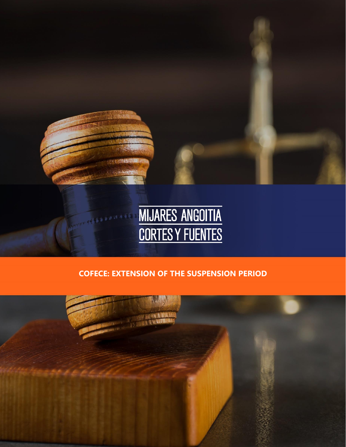

# **COFECE: EXTENSION OF THE SUSPENSION PERIOD**

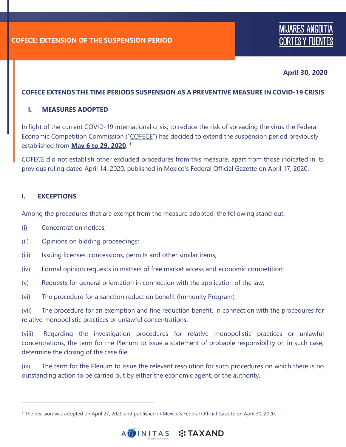## **April 30, 2020**

#### **COFECE EXTENDS THE TIME PERIODS SUSPENSION AS A PREVENTIVE MEASURE IN COVID-19 CRISIS**

#### **I. MEASURES ADOPTED**

In light of the current COVID-19 international crisis, to reduce the risk of spreading the virus the Federal Economic Competition Commission ("COFECE") has decided to extend the suspension period previously established from **May 6 to 29, 2020**. 1

COFECE did not establish other excluded procedures from this measure, apart from those indicated in its previous ruling dated April 14, 2020, published in Mexico's Federal Official Gazette on April 17, 2020.

#### **I. EXCEPTIONS**

Among the procedures that are exempt from the measure adopted, the following stand out:

- (i) Concentration notices;
- (ii) Opinions on bidding proceedings;
- (iii) Issuing licenses, concessions, permits and other similar items;
- (iv) Formal opinion requests in matters of free market access and economic competition;
- (v) Requests for general orientation in connection with the application of the law;
- (vi) The procedure for a sanction reduction benefit (Immunity Program);

(vii) The procedure for an exemption and fine reduction benefit. In connection with the procedures for relative monopolistic practices or unlawful concentrations.

(viii) Regarding the investigation procedures for relative monopolistic practices or unlawful concentrations, the term for the Plenum to issue a statement of probable responsibility or, in such case, determine the closing of the case file.

(ix) The term for the Plenum to issue the relevant resolution for such procedures on which there is no outstanding action to be carried out by either the economic agent, or the authority.

<sup>1</sup> The decision was adopted on April 27, 2020 and published in Mexico's Federal Official Gazette on April 30, 2020.